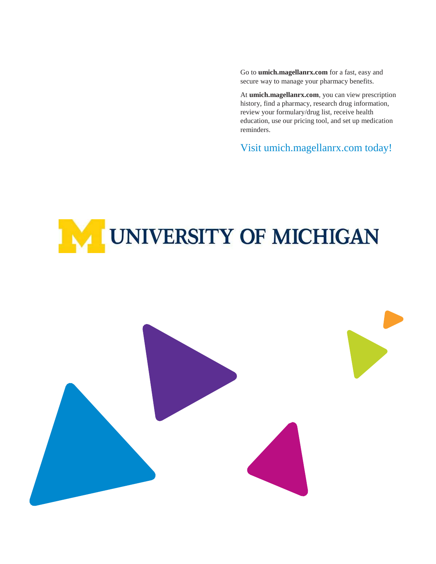Go to **umich.magellanrx.com** for a fast, easy and secure way to manage your pharmacy benefits.

At **umich.magellanrx.com**, you can view prescription history, find a pharmacy, research drug information, review your formulary/drug list, receive health education, use our pricing tool, and set up medication reminders.

Visit umich.magellanrx.com today!

# **IM UNIVERSITY OF MICHIGAN**

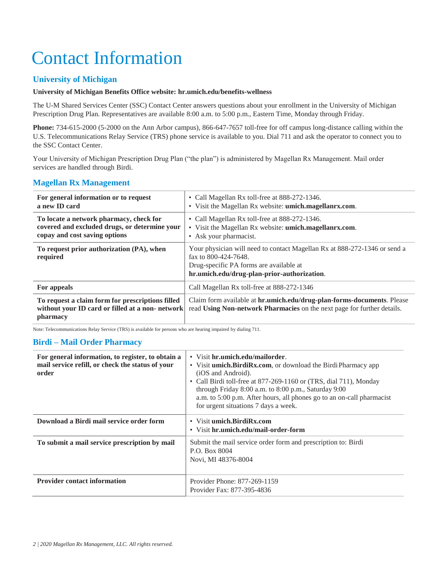# Contact Information

# **University of Michigan**

### **University of Michigan Benefits Office website: hr.umich.edu/benefits-wellness**

The U-M Shared Services Center (SSC) Contact Center answers questions about your enrollment in the University of Michigan Prescription Drug Plan. Representatives are available 8:00 a.m. to 5:00 p.m., Eastern Time, Monday through Friday.

**Phone:** 734-615-2000 (5-2000 on the Ann Arbor campus), 866-647-7657 toll-free for off campus long-distance calling within the U.S. Telecommunications Relay Service (TRS) phone service is available to you. Dial 711 and ask the operator to connect you to the SSC Contact Center.

Your University of Michigan Prescription Drug Plan ("the plan") is administered by Magellan Rx Management. Mail order services are handled through Birdi.

# **Magellan Rx Management**

| For general information or to request<br>a new ID card                                                                    | • Call Magellan Rx toll-free at 888-272-1346.<br>• Visit the Magellan Rx website: umich.magellanrx.com.                                                                                     |
|---------------------------------------------------------------------------------------------------------------------------|---------------------------------------------------------------------------------------------------------------------------------------------------------------------------------------------|
| To locate a network pharmacy, check for<br>covered and excluded drugs, or determine your<br>copay and cost saving options | • Call Magellan Rx toll-free at 888-272-1346.<br>• Visit the Magellan Rx website: umich.magellanrx.com.<br>• Ask your pharmacist.                                                           |
| To request prior authorization (PA), when<br>required                                                                     | Your physician will need to contact Magellan Rx at 888-272-1346 or send a<br>fax to 800-424-7648.<br>Drug-specific PA forms are available at<br>hr.umich.edu/drug-plan-prior-authorization. |
| For appeals                                                                                                               | Call Magellan Rx toll-free at 888-272-1346                                                                                                                                                  |
| To request a claim form for prescriptions filled<br>without your ID card or filled at a non-network<br>pharmacy           | Claim form available at <b>hr.umich.edu/drug-plan-forms-documents</b> . Please<br>read Using Non-network Pharmacies on the next page for further details.                                   |

Note: Telecommunications Relay Service (TRS) is available for persons who are hearing impaired by dialing 711.

# **Birdi – Mail Order Pharmacy**

| For general information, to register, to obtain a<br>mail service refill, or check the status of your<br>order | • Visit hr.umich.edu/mailorder.<br>• Visit <b>umich.BirdiRx.com</b> , or download the Birdi Pharmacy app<br>(iOS and Android).<br>• Call Birdi toll-free at 877-269-1160 or (TRS, dial 711), Monday<br>through Friday 8:00 a.m. to 8:00 p.m., Saturday 9:00<br>a.m. to 5:00 p.m. After hours, all phones go to an on-call pharmacist<br>for urgent situations 7 days a week. |  |
|----------------------------------------------------------------------------------------------------------------|------------------------------------------------------------------------------------------------------------------------------------------------------------------------------------------------------------------------------------------------------------------------------------------------------------------------------------------------------------------------------|--|
| Download a Birdi mail service order form                                                                       | • Visit umich.BirdiRx.com<br>• Visit hr.umich.edu/mail-order-form                                                                                                                                                                                                                                                                                                            |  |
| To submit a mail service prescription by mail                                                                  | Submit the mail service order form and prescription to: Birdi<br>P.O. Box 8004<br>Novi, MI 48376-8004                                                                                                                                                                                                                                                                        |  |
| <b>Provider contact information</b>                                                                            | Provider Phone: 877-269-1159<br>Provider Fax: 877-395-4836                                                                                                                                                                                                                                                                                                                   |  |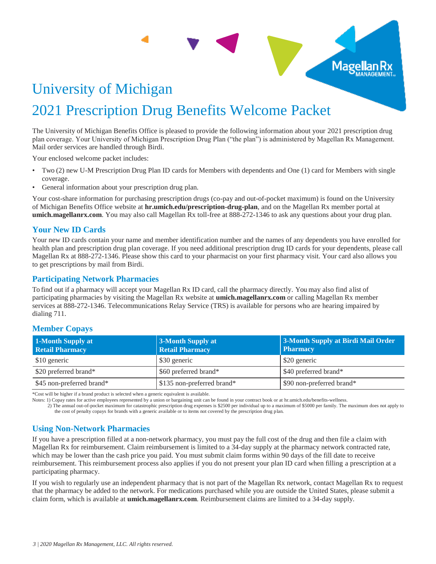# University of Michigan 2021 Prescription Drug Benefits Welcome Packet

The University of Michigan Benefits Office is pleased to provide the following information about your 2021 prescription drug plan coverage. Your University of Michigan Prescription Drug Plan ("the plan") is administered by Magellan Rx Management. Mail order services are handled through Birdi.

**Contract Contract Contract** 

Your enclosed welcome packet includes:

- Two (2) new U-M Prescription Drug Plan ID cards for Members with dependents and One (1) card for Members with single coverage.
- General information about your prescription drug plan.

Your cost-share information for purchasing prescription drugs (co-pay and out-of-pocket maximum) is found on the University of Michigan Benefits Office website at **hr.umich.edu/prescription-drug-plan**, and on the Magellan Rx member portal at **umich.magellanrx.com**. You may also call Magellan Rx toll-free at 888-272-1346 to ask any questions about your drug plan.

# **Your New ID Cards**

Your new ID cards contain your name and member identification number and the names of any dependents you have enrolled for health plan and prescription drug plan coverage. If you need additional prescription drug ID cards for your dependents, please call Magellan Rx at 888-272-1346. Please show this card to your pharmacist on your first pharmacy visit. Your card also allows you to get prescriptions by mail from Birdi.

# **Participating Network Pharmacies**

To find out if a pharmacy will accept your Magellan Rx ID card, call the pharmacy directly. You may also find alist of participating pharmacies by visiting the Magellan Rx website at **umich.magellanrx.com** or calling Magellan Rx member services at 888-272-1346. Telecommunications Relay Service (TRS) is available for persons who are hearing impaired by dialing 711.

# **Member Copays**

| 1-Month Supply at<br><b>Retail Pharmacy</b> | 3-Month Supply at<br><b>Retail Pharmacy</b> | 3-Month Supply at Birdi Mail Order<br><b>Pharmacy</b> |
|---------------------------------------------|---------------------------------------------|-------------------------------------------------------|
| \$10 generic                                | \$30 generic                                | \$20 generic                                          |
| \$20 preferred brand*                       | \$60 preferred brand*                       | \$40 preferred brand*                                 |
| \$45 non-preferred brand*                   | \$135 non-preferred brand*                  | \$90 non-preferred brand*                             |

\*Cost will be higher if a brand product is selected when a generic equivalent is available.

Notes: 1) Copay rates for active employees represented by a union or bargaining unit can be found in your contract book or at hr.umich.edu/benefits-wellness.

2) The annual out-of-pocket maximum for catastrophic prescription drug expenses is \$2500 per individual up to a maximum of \$5000 per family. The maximum does not apply to the cost of penalty copays for brands with a generic available or to items not covered by the prescription drug plan.

# **Using Non-Network Pharmacies**

If you have a prescription filled at a non-network pharmacy, you must pay the full cost of the drug and then file a claim with Magellan Rx for reimbursement. Claim reimbursement is limited to a 34-day supply at the pharmacy network contracted rate, which may be lower than the cash price you paid. You must submit claim forms within 90 days of the fill date to receive reimbursement. This reimbursement process also applies if you do not present your plan ID card when filling a prescription at a participating pharmacy.

If you wish to regularly use an independent pharmacy that is not part of the Magellan Rx network, contact Magellan Rx to request that the pharmacy be added to the network. For medications purchased while you are outside the United States, please submit a claim form, which is available at **umich.magellanrx.com**. Reimbursement claims are limited to a 34-day supply.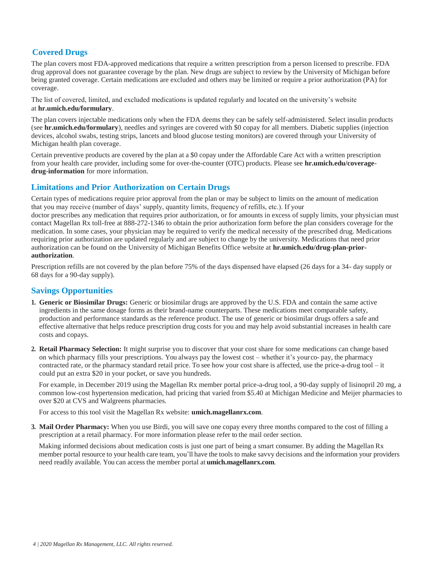# **Covered Drugs**

The plan covers most FDA-approved medications that require a written prescription from a person licensed to prescribe. FDA drug approval does not guarantee coverage by the plan. New drugs are subject to review by the University of Michigan before being granted coverage. Certain medications are excluded and others may be limited or require a prior authorization (PA) for coverage.

The list of covered, limited, and excluded medications is updated regularly and located on the university's website at **hr.umich.edu/formulary**.

The plan covers injectable medications only when the FDA deems they can be safely self-administered. Select insulin products (see **hr.umich.edu/formulary**), needles and syringes are covered with \$0 copay for all members. Diabetic supplies (injection devices, alcohol swabs, testing strips, lancets and blood glucose testing monitors) are covered through your University of Michigan health plan coverage.

Certain preventive products are covered by the plan at a \$0 copay under the Affordable Care Act with a written prescription from your health care provider, including some for over-the-counter (OTC) products. Please see **hr.umich.edu/coveragedrug-information** for more information.

# **Limitations and Prior Authorization on Certain Drugs**

Certain types of medications require prior approval from the plan or may be subject to limits on the amount of medication that you may receive (number of days' supply, quantity limits, frequency of refills, etc.). If your doctor prescribes any medication that requires prior authorization, or for amounts in excess of supply limits, your physician must contact Magellan Rx toll-free at 888-272-1346 to obtain the prior authorization form before the plan considers coverage for the medication. In some cases, your physician may be required to verify the medical necessity of the prescribed drug. Medications requiring prior authorization are updated regularly and are subject to change by the university. Medications that need prior authorization can be found on the University of Michigan Benefits Office website at **hr.umich.edu/drug-plan-priorauthorization**.

Prescription refills are not covered by the plan before 75% of the days dispensed have elapsed (26 days for a 34- day supply or 68 days for a 90-day supply).

# **Savings Opportunities**

- **1. Generic or Biosimilar Drugs:** Generic or biosimilar drugs are approved by the U.S. FDA and contain the same active ingredients in the same dosage forms as their brand-name counterparts. These medications meet comparable safety, production and performance standards as the reference product. The use of generic or biosimilar drugs offers a safe and effective alternative that helps reduce prescription drug costs for you and may help avoid substantial increases in health care costs and copays.
- **2. Retail Pharmacy Selection:** It might surprise you to discover that your cost share for some medications can change based on which pharmacy fills your prescriptions. You always pay the lowest cost – whether it's yourco- pay, the pharmacy contracted rate, or the pharmacy standard retail price. To see how your cost share is affected, use the price-a-drug tool – it could put an extra \$20 in your pocket, or save you hundreds.

For example, in December 2019 using the Magellan Rx member portal price-a-drug tool, a 90-day supply of lisinopril 20 mg, a common low-cost hypertension medication, had pricing that varied from \$5.40 at Michigan Medicine and Meijer pharmacies to over \$20 at CVS and Walgreens pharmacies.

For access to this tool visit the Magellan Rx website: **umich.magellanrx.com**.

**3. Mail Order Pharmacy:** When you use Birdi, you will save one copay every three months compared to the cost of filling a prescription at a retail pharmacy. For more information please refer to the mail order section.

Making informed decisions about medication costs is just one part of being a smart consumer. By adding the Magellan Rx member portal resource to your health care team, you'll have the tools to make savvy decisions and the information your providers need readily available. You can access the member portal at **umich.magellanrx.com**.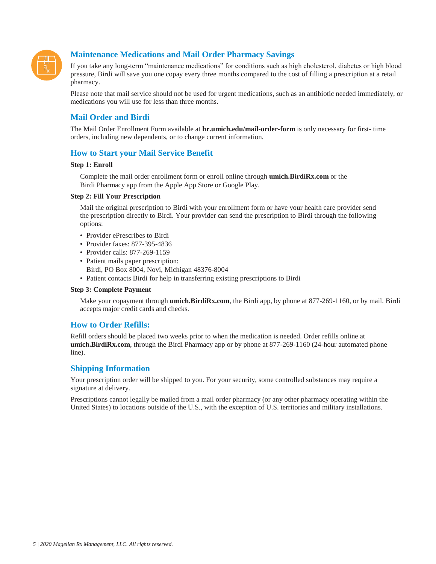

# **Maintenance Medications and Mail Order Pharmacy Savings**

If you take any long-term "maintenance medications" for conditions such as high cholesterol, diabetes or high blood pressure, Birdi will save you one copay every three months compared to the cost of filling a prescription at a retail pharmacy.

Please note that mail service should not be used for urgent medications, such as an antibiotic needed immediately, or medications you will use for less than three months.

# **Mail Order and Birdi**

The Mail Order Enrollment Form available at **hr.umich.edu/mail-order-form** is only necessary for first- time orders, including new dependents, or to change current information.

# **How to Start your Mail Service Benefit**

#### **Step 1: Enroll**

Complete the mail order enrollment form or enroll online through **umich.BirdiRx.com** or the Birdi Pharmacy app from the Apple App Store or Google Play.

#### **Step 2: Fill Your Prescription**

Mail the original prescription to Birdi with your enrollment form or have your health care provider send the prescription directly to Birdi. Your provider can send the prescription to Birdi through the following options:

- Provider ePrescribes to Birdi
- Provider faxes: 877-395-4836
- Provider calls: 877-269-1159
- Patient mails paper prescription:
- Birdi, PO Box 8004, Novi, Michigan 48376-8004
- Patient contacts Birdi for help in transferring existing prescriptions to Birdi

#### **Step 3: Complete Payment**

Make your copayment through **umich.BirdiRx.com**, the Birdi app, by phone at 877-269-1160, or by mail. Birdi accepts major credit cards and checks.

# **How to Order Refills:**

Refill orders should be placed two weeks prior to when the medication is needed. Order refills online at **umich.BirdiRx.com**, through the Birdi Pharmacy app or by phone at 877-269-1160 (24-hour automated phone line).

# **Shipping Information**

Your prescription order will be shipped to you. For your security, some controlled substances may require a signature at delivery.

Prescriptions cannot legally be mailed from a mail order pharmacy (or any other pharmacy operating within the United States) to locations outside of the U.S., with the exception of U.S. territories and military installations.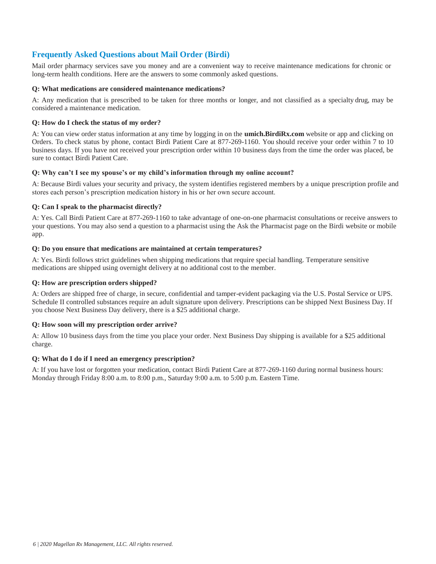# **Frequently Asked Questions about Mail Order (Birdi)**

Mail order pharmacy services save you money and are a convenient way to receive maintenance medications for chronic or long-term health conditions. Here are the answers to some commonly asked questions.

#### **Q: What medications are considered maintenance medications?**

A: Any medication that is prescribed to be taken for three months or longer, and not classified as a specialty drug, may be considered a maintenance medication.

#### **Q: How do I check the status of my order?**

A: You can view order status information at any time by logging in on the **umich.BirdiRx.com** website or app and clicking on Orders. To check status by phone, contact Birdi Patient Care at 877-269-1160. You should receive your order within 7 to 10 business days. If you have not received your prescription order within 10 business days from the time the order was placed, be sure to contact Birdi Patient Care.

#### **Q: Why can't I see my spouse's or my child's information through my online account?**

A: Because Birdi values your security and privacy, the system identifies registered members by a unique prescription profile and stores each person's prescription medication history in his or her own secure account.

#### **Q: Can I speak to the pharmacist directly?**

A: Yes. Call Birdi Patient Care at 877-269-1160 to take advantage of one-on-one pharmacist consultations or receive answers to your questions. You may also send a question to a pharmacist using the Ask the Pharmacist page on the Birdi website or mobile app.

#### **Q: Do you ensure that medications are maintained at certain temperatures?**

A: Yes. Birdi follows strict guidelines when shipping medications that require special handling. Temperature sensitive medications are shipped using overnight delivery at no additional cost to the member.

#### **Q: How are prescription orders shipped?**

A: Orders are shipped free of charge, in secure, confidential and tamper-evident packaging via the U.S. Postal Service or UPS. Schedule II controlled substances require an adult signature upon delivery. Prescriptions can be shipped Next Business Day. If you choose Next Business Day delivery, there is a \$25 additional charge.

#### **Q: How soon will my prescription order arrive?**

A: Allow 10 business days from the time you place your order. Next Business Day shipping is available for a \$25 additional charge.

#### **Q: What do I do if I need an emergency prescription?**

A: If you have lost or forgotten your medication, contact Birdi Patient Care at 877-269-1160 during normal business hours: Monday through Friday 8:00 a.m. to 8:00 p.m., Saturday 9:00 a.m. to 5:00 p.m. Eastern Time.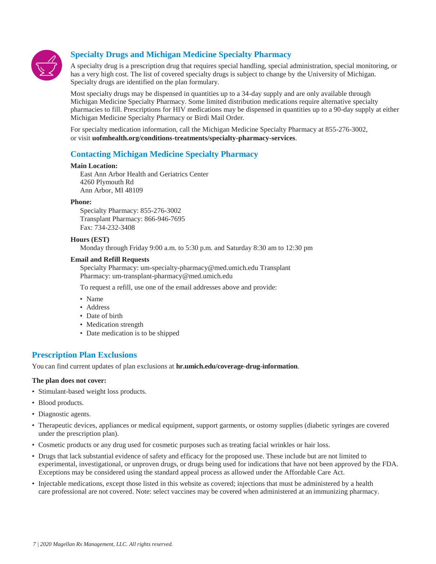

# **Specialty Drugs and Michigan Medicine Specialty Pharmacy**

A specialty drug is a prescription drug that requires special handling, special administration, special monitoring, or has a very high cost. The list of covered specialty drugs is subject to change by the University of Michigan. Specialty drugs are identified on the plan formulary.

Most specialty drugs may be dispensed in quantities up to a 34-day supply and are only available through Michigan Medicine Specialty Pharmacy. Some limited distribution medications require alternative specialty pharmacies to fill. Prescriptions for HIV medications may be dispensed in quantities up to a 90-day supply at either Michigan Medicine Specialty Pharmacy or Birdi Mail Order.

For specialty medication information, call the Michigan Medicine Specialty Pharmacy at 855-276-3002, or visit **uofmhealth.org/conditions-treatments/specialty-pharmacy-services**.

# **Contacting Michigan Medicine Specialty Pharmacy**

#### **Main Location:**

East Ann Arbor Health and Geriatrics Center 4260 Plymouth Rd Ann Arbor, MI 48109

#### **Phone:**

Specialty Pharmacy: 855-276-3002 Transplant Pharmacy: 866-946-7695 Fax: 734-232-3408

#### **Hours (EST)**

Monday through Friday 9:00 a.m. to 5:30 p.m. and Saturday 8:30 am to 12:30 pm

#### **Email and Refill Requests**

[Specialty Pharmacy: um-specialty-pharmacy@med.umich.edu](mailto:um-specialty-pharmacy@med.umich.edu) Transplant Pharmacy: [um-transplant-pharmacy@med.umich.edu](mailto:um-transplant-pharmacy@med.umich.edu)

To request a refill, use one of the email addresses above and provide:

- Name
- Address
- Date of birth
- Medication strength
- Date medication is to be shipped

# **Prescription Plan Exclusions**

You can find current updates of plan exclusions at **hr.umich.edu/coverage-drug-information**.

#### **The plan does not cover:**

- Stimulant-based weight loss products.
- Blood products.
- Diagnostic agents.
- Therapeutic devices, appliances or medical equipment, support garments, or ostomy supplies (diabetic syringes are covered under the prescription plan).
- Cosmetic products or any drug used for cosmetic purposes such as treating facial wrinkles or hair loss.
- Drugs that lack substantial evidence of safety and efficacy for the proposed use. These include but are not limited to experimental, investigational, or unproven drugs, or drugs being used for indications that have not been approved by the FDA. Exceptions may be considered using the standard appeal process as allowed under the Affordable Care Act.
- Injectable medications, except those listed in this website as covered; injections that must be administered by a health care professional are not covered. Note: select vaccines may be covered when administered at an immunizing pharmacy.